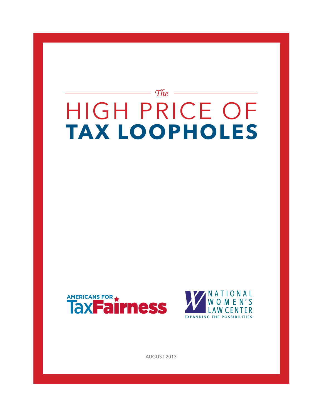# — The HigH Price of **Tax LoophoLes**





August 2013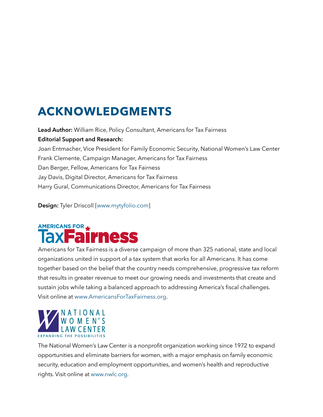# **aCKNoWLeDGMeNTs**

Lead Author: William Rice, Policy Consultant, Americans for Tax Fairness **Editorial Support and Research:**  Joan Entmacher, Vice President for Family Economic Security, National Women's Law Center Frank Clemente, Campaign Manager, Americans for Tax Fairness Dan Berger, Fellow, Americans for Tax Fairness Jay Davis, Digital Director, Americans for Tax Fairness Harry Gural, Communications Director, Americans for Tax Fairness

**Design:** Tyler Driscoll [[www.mytyfolio.com\]](www.mytyfolio.com)

### **AMERICANS FOR 4 Micss**

Americans for Tax Fairness is a diverse campaign of more than 325 national, state and local organizations united in support of a tax system that works for all Americans. it has come together based on the belief that the country needs comprehensive, progressive tax reform that results in greater revenue to meet our growing needs and investments that create and sustain jobs while taking a balanced approach to addressing America's fiscal challenges. Visit online at www.AmericansForTaxFairness.org.



The National Women's Law Center is a nonprofit organization working since 1972 to expand opportunities and eliminate barriers for women, with a major emphasis on family economic security, education and employment opportunities, and women's health and reproductive rights. Visit online at<www.nwlc.org>.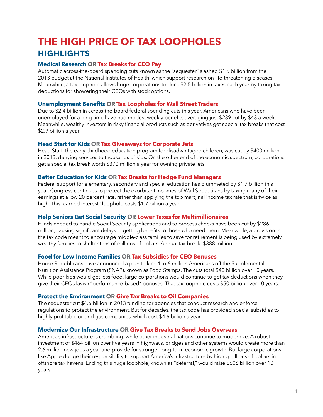### **The hIGh pRICe oF Tax LoophoLes hIGhLIGhTs**

#### **Medical Research oR Tax Breaks for Ceo pay**

Automatic across-the-board spending cuts known as the "sequester" slashed \$1.5 billion from the 2013 budget at the National institutes of Health, which support research on life-threatening diseases. Meanwhile, a tax loophole allows huge corporations to duck \$2.5 billion in taxes each year by taking tax deductions for showering their CEOs with stock options.

#### **<u>Unemployment Benefits OR Tax Loopholes for Wall Street Traders</u>**

Due to \$2.4 billion in across-the-board federal spending cuts this year, Americans who have been unemployed for a long time have had modest weekly benefits averaging just \$289 cut by \$43 a week. Meanwhile, wealthy investors in risky financial products such as derivatives get special tax breaks that cost \$2.9 billion a year.

#### **head start for Kids oR Tax Giveaways for Corporate Jets**

Head start, the early childhood education program for disadvantaged children, was cut by \$400 million in 2013, denying services to thousands of kids. On the other end of the economic spectrum, corporations get a special tax break worth \$370 million a year for owning private jets.

#### **Better education for Kids oR Tax Breaks for hedge Fund Managers**

Federal support for elementary, secondary and special education has plummeted by \$1.7 billion this year. congress continues to protect the exorbitant incomes of Wall street titans by taxing many of their earnings at a low 20 percent rate, rather than applying the top marginal income tax rate that is twice as high. This "carried interest" loophole costs \$1.7 billion a year.

#### **help seniors Get social security oR Lower Taxes for Multimillionaires**

Funds needed to handle Social Security applications and to process checks have been cut by \$286 million, causing significant delays in getting benefits to those who need them. Meanwhile, a provision in the tax code meant to encourage middle-class families to save for retirement is being used by extremely wealthy families to shelter tens of millions of dollars. Annual tax break: \$388 million.

#### **Food for Low-Income Families oR Tax subsidies for Ceo Bonuses**

House Republicans have announced a plan to kick 4 to 6 million Americans off the Supplemental Nutrition Assistance Program (sNAP), known as food stamps. the cuts total \$40 billion over 10 years. While poor kids would get less food, large corporations would continue to get tax deductions when they give their CEOs lavish "performance-based" bonuses. That tax loophole costs \$50 billion over 10 years.

### **protect the environment oR Give Tax Breaks to oil Companies**

The sequester cut \$4.6 billion in 2013 funding for agencies that conduct research and enforce regulations to protect the environment. But for decades, the tax code has provided special subsidies to highly profitable oil and gas companies, which cost \$4.6 billion a year.

#### **Modernize our Infrastructure oR Give Tax Breaks to send Jobs overseas**

America's infrastructure is crumbling, while other industrial nations continue to modernize. A robust investment of \$464 billion over five years in highways, bridges and other systems would create more than 2.6 million new jobs a year and provide for stronger long-term economic growth. But large corporations like Apple dodge their responsibility to support America's infrastructure by hiding billions of dollars in offshore tax havens. Ending this huge loophole, known as "deferral," would raise \$606 billion over 10 years.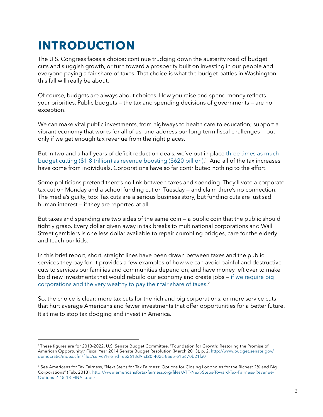# **INTRoDUCTIoN**

The U.S. Congress faces a choice: continue trudging down the austerity road of budget cuts and sluggish growth, or turn toward a prosperity built on investing in our people and everyone paying a fair share of taxes. That choice is what the budget battles in Washington this fall will really be about.

Of course, budgets are always about choices. How you raise and spend money reflects your priorities. Public budgets — the tax and spending decisions of governments — are no exception.

We can make vital public investments, from highways to health care to education; support a vibrant economy that works for all of us; and address our long-term fiscal challenges – but only if we get enough tax revenue from the right places.

But in two and a half years of deficit reduction deals, we've put in place three times as much budget cutting (\$1.8 trillion) as revenue boosting (\$620 billion).<sup>1</sup> And all of the tax increases have come from individuals. Corporations have so far contributed nothing to the effort.

Some politicians pretend there's no link between taxes and spending. They'll vote a corporate tax cut on Monday and a school funding cut on Tuesday – and claim there's no connection. The media's quilty, too: Tax cuts are a serious business story, but funding cuts are just sad human interest — if they are reported at all.

But taxes and spending are two sides of the same coin — a public coin that the public should tightly grasp. Every dollar given away in tax breaks to multinational corporations and Wall street gamblers is one less dollar available to repair crumbling bridges, care for the elderly and teach our kids.

in this brief report, short, straight lines have been drawn between taxes and the public services they pay for. it provides a few examples of how we can avoid painful and destructive cuts to services our families and communities depend on, and have money left over to make bold new investments that would rebuild our economy and create jobs — [if we require big](http://www.americansfortaxfairness.org/files/ATF-Next-Steps-Toward-Tax-Fairness-Revenue-Options-2-15-13-FINAL.docx)  [corporations and the very wealthy to pay their fair share of taxes](http://www.americansfortaxfairness.org/files/ATF-Next-Steps-Toward-Tax-Fairness-Revenue-Options-2-15-13-FINAL.docx). 2

so, the choice is clear: more tax cuts for the rich and big corporations, or more service cuts that hurt average Americans and fewer investments that offer opportunities for a better future. It's time to stop tax dodging and invest in America.

<sup>&</sup>lt;sup>1</sup>These figures are for 2013-2022. U.S. Senate Budget Committee, "Foundation for Growth: Restoring the Promise of American Opportunity," Fiscal Year 2014 Senate Budget Resolution (March 2013), p. 2. [http://www.budget.senate.gov/](http://1.usa.gov/1apLmXT) democratic/index.cfm/files/serve?File\_id=ee2613d9-cf20-402c-8a65-e1b670b21fa0

<sup>&</sup>lt;sup>2</sup> See Americans for Tax Fairness, "Next Steps for Tax Fairness: Options for Closing Loopholes for the Richest 2% and Big Corporations" (Feb. 2013). http://www.americansfortaxfairness.org/files/ATF-Next-Steps-Toward-Tax-Fairness-Revenue[options-2-15-13-fiNAL.docx](http://www.americansfortaxfairness.org/files/ATF-Next-Steps-Toward-Tax-Fairness-Revenue-Options-2-15-13-FINAL.docx)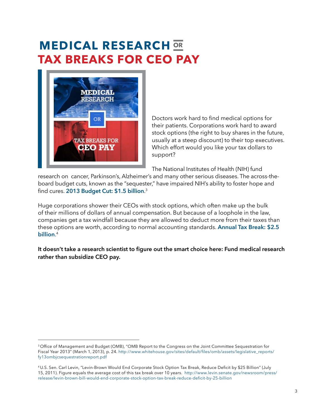# **MeDICaL ReseaRCh ORTax BReaKs FoR Ceo paY**



Doctors work hard to find medical options for their patients. Corporations work hard to award stock options (the right to buy shares in the future, usually at a steep discount) to their top executives. Which effort would you like your tax dollars to support?

The National Institutes of Health (NIH) fund

research on cancer, Parkinson's, Alzheimer's and many other serious diseases. The across-theboard budget cuts, known as the "sequester," have impaired NiH's ability to foster hope and  ${\mathsf{find}}$  cures. <code>2013</code> Budget Cut: \$1.5 billion. $^3$ 

Huge corporations shower their CEOs with stock options, which often make up the bulk of their millions of dollars of annual compensation. But because of a loophole in the law, companies get a tax windfall because they are allowed to deduct more from their taxes than these options are worth, according to normal accounting standards. **[Annual Tax Break:](http://www.levin.senate.gov/newsroom/press/release/levin-brown-bill-would-end-corporate-stock-option-tax-break-reduce-deficit-by-25-billion) \$2.5 [billion](http://www.levin.senate.gov/newsroom/press/release/levin-brown-bill-would-end-corporate-stock-option-tax-break-reduce-deficit-by-25-billion)**. 4

It doesn't take a research scientist to figure out the smart choice here: Fund medical research **rather than subsidize CEO pay.**

<sup>&</sup>lt;sup>3</sup> Office of Management and Budget (OMB), "OMB Report to the Congress on the Joint Committee Seguestration for Fiscal Year 2013" (March 1, 2013), p. 24. http://www.whitehouse.gov/sites/default/files/omb/assets/legislative reports/ [fy13ombjcsequestrationreport.pdf](http://www.whitehouse.gov/sites/default/files/omb/assets/legislative_reports/fy13ombjcsequestrationreport.pdf)

<sup>4</sup>U.S. Sen. Carl Levin, "Levin-Brown Would End Corporate Stock Option Tax Break, Reduce Deficit by \$25 Billion" (July 15, 2011). figure equals the average cost of this tax break over 10 years. [http://www.levin.senate.gov/newsroom/press/](http://www.levin.senate.gov/newsroom/press/release/levin-brown-bill-would-end-corporate-stock-option-tax-break-reduce-deficit-by-25-billion) release/levin-brown-bill-would-end-corporate-stock-option-tax-break-reduce-deficit-by-25-billion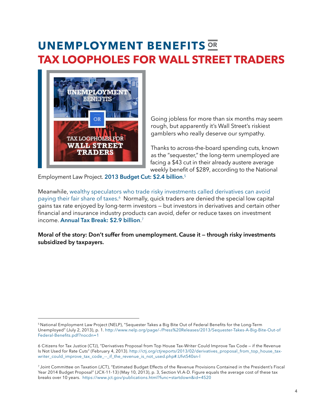### **UNeMpLoYMeNT BeNeFITs ORTax LoophoLes FoR WaLL sTReeT TRaDeRs**



Going jobless for more than six months may seem rough, but apparently it's Wall street's riskiest gamblers who really deserve our sympathy.

Thanks to across-the-board spending cuts, known as the "sequester," the long-term unemployed are facing a \$43 cut in their already austere average weekly benefit of \$289, according to the National

employment Law Project. **[2013 Budget Cut: \\$2.4 billion](http://www.nelp.org/page/-/Press%20Releases/2013/Sequester-Takes-A-Big-Bite-Out-of-Federal-Benefits.pdf%3Fnocdn%3D1)**. 5

Meanwhile, [wealthy speculators who trade risky investments called derivatives can avoid](http://bit.ly/128lblp)  [paying their fair share of taxes](http://bit.ly/128lblp).<sup>6</sup> Normally, quick traders are denied the special low capital gains tax rate enjoyed by long-term investors — but investors in derivatives and certain other financial and insurance industry products can avoid, defer or reduce taxes on investment income. **[Annual Tax Break: \\$2.9 billion](http://1.usa.gov/YL5Yan)**.

Moral of the story: Don't suffer from unemployment. Cause it - through risky investments **subsidized by taxpayers.**

<sup>&</sup>lt;sup>5</sup> National Employment Law Project (NELP), "Sequester Takes a Big Bite Out of Federal Benefits for the Long-Term unemployed" (July 2, 2013), p. 1. [http://www.nelp.org/page/-/Press%20releases/2013/sequester-takes-A-Big-Bite-out-of](http://www.nelp.org/page/-/Press%20Releases/2013/Sequester-Takes-A-Big-Bite-Out-of-Federal-Benefits.pdf%3Fnocdn%3D1) Federal-Benefits.pdf?nocdn=1

<sup>6</sup> Citizens for Tax Justice (CTJ), "Derivatives Proposal from Top House Tax-Writer Could Improve Tax Code – if the Revenue Is Not Used for Rate Cuts" (February 4, 2013). http://ctj.org/ctjreports/2013/02/derivatives\_proposal\_from\_top\_house\_taxwriter\_could\_improve\_tax\_code\_--\_if\_the\_revenue\_is\_not\_used.php#.Ufvt540sn-l

<sup>&</sup>lt;sup>7</sup> Joint Committee on Taxation (JCT), "Estimated Budget Effects of the Revenue Provisions Contained in the President's Fiscal Year 2014 Budget Proposal" (JcX-11-13) (May 10, 2013), p. 3, section Vi.A-D. figure equals the average cost of these tax breaks over 10 years. https://www.jct.gov/publications.html?func=startdown&id=4520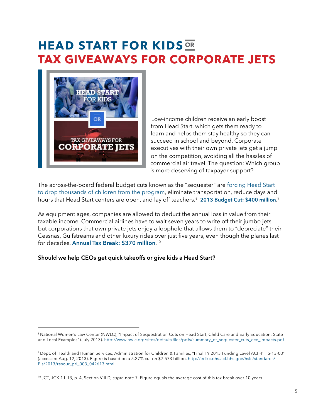## **HEAD START FOR KIDS** OR **Tax GIVeaWaYs FoR CoRpoRaTe JeTs**



Low-income children receive an early boost from Head Start, which gets them ready to learn and helps them stay healthy so they can succeed in school and beyond. Corporate executives with their own private jets get a jump on the competition, avoiding all the hassles of commercial air travel. The question: Which group is more deserving of taxpayer support?

The across-the-board federal budget cuts known as the "sequester" are forcing Head Start [to drop thousands of children from the program,](http://www.nwlc.org/sites/default/files/pdfs/summary_of_sequester_cuts_ece_impacts.pdf) eliminate transportation, reduce days and hours that Head Start centers are open, and lay off teachers.<sup>8</sup> **2013 Budget Cut: \$400 million.**<sup>9</sup>

As equipment ages, companies are allowed to deduct the annual loss in value from their taxable income. commercial airlines have to wait seven years to write off their jumbo jets, but corporations that own private jets enjoy a loophole that allows them to "depreciate" their Cessnas, Gulfstreams and other luxury rides over just five years, even though the planes last for decades. **Annual Tax Break: \$370 million**.<sup>10</sup>

### Should we help CEOs get quick takeoffs or give kids a Head Start?

<sup>&</sup>lt;sup>8</sup> National Women's Law Center (NWLC), "Impact of Sequestration Cuts on Head Start, Child Care and Early Education: State and Local Examples" (July 2013). http://www.nwlc.org/sites/default/files/pdfs/summary\_of\_sequester\_cuts\_ece\_impacts.pdf

<sup>&</sup>lt;sup>9</sup> Dept. of Health and Human Services, Administration for Children & Families, "Final FY 2013 Funding Level ACF-PIHS-13-03" (accessed Aug. 12, 2013). Figure is based on a 5.27% cut on \$7.573 billion. [http://eclkc.ohs.acf.hhs.gov/hslc/standards/](http://eclkc.ohs.acf.hhs.gov/hslc/standards/PIs/2013/resour_pri_003_042613.html%20) Pls/2013/resour\_pri\_003\_042613.html

<sup>&</sup>lt;sup>10</sup> JCT, JCX-11-13, p. 4, Section VIII.D, *supra* note 7. Figure equals the average cost of this tax break over 10 years.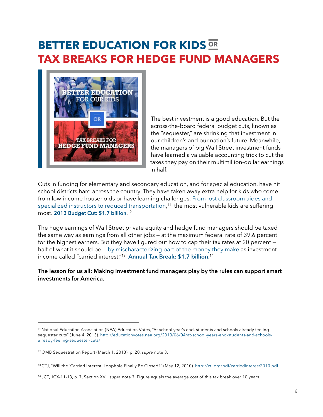### **BETTER EDUCATION FOR KIDS OR Tax BReaKs FoR heDGe FUND MaNaGeRs**



The best investment is a good education. But the across-the-board federal budget cuts, known as the "sequester," are shrinking that investment in our children's and our nation's future. Meanwhile, the managers of big Wall street investment funds have learned a valuable accounting trick to cut the taxes they pay on their multimillion-dollar earnings in half.

cuts in funding for elementary and secondary education, and for special education, have hit school districts hard across the country. they have taken away extra help for kids who come from low-income households or have learning challenges. [from lost classroom aides and](http://educationvotes.nea.org/2013/06/04/at-school-years-end-students-and-schools-already-feeling-sequester-cuts/)  [specialized instructors to reduced transportation](http://educationvotes.nea.org/2013/06/04/at-school-years-end-students-and-schools-already-feeling-sequester-cuts/), 11 the most vulnerable kids are suffering most. **[2013 Budget Cut: \\$1.7 billion](http://1.usa.gov/Z87wXg)**. 12

the huge earnings of Wall street private equity and hedge fund managers should be taxed the same way as earnings from all other jobs - at the maximum federal rate of 39.6 percent for the highest earners. But they have figured out how to cap their tax rates at 20 percent  $$ half of what it should be – [by mischaracterizing part of the money they make](http://bit.ly/zqf7Ec) as investment income called "carried interest."13 **[Annual Tax Break: \\$1.7 billion](http://1.usa.gov/YL5Yan)**. 14

The lesson for us all: Making investment fund managers play by the rules can support smart **investments for America.** 

<sup>&</sup>lt;sup>11</sup> National Education Association (NEA) Education Votes, "At school year's end, students and schools already feeling sequester cuts" (June 4, 2013). http://educationvotes.nea.org/2013/06/04/at-school-years-end-students-and-schools[already-feeling-sequester-cuts/](http://educationvotes.nea.org/2013/06/04/at-school-years-end-students-and-schools-already-feeling-sequester-cuts/%20)

<sup>&</sup>lt;sup>12</sup> OMB Sequestration Report (March 1, 2013), p. 20, *supra* note 3.

<sup>&</sup>lt;sup>13</sup>CTJ, "Will the 'Carried Interest' Loophole Finally Be Closed?" (May 12, 2010). [http://ctj.org/pdf/carriedinterest2010.pdf](http://bit.ly/zqf7Ec)

<sup>&</sup>lt;sup>14</sup> JCT, JCX-11-13, p. 7, Section XV.I, supra note 7. Figure equals the average cost of this tax break over 10 years.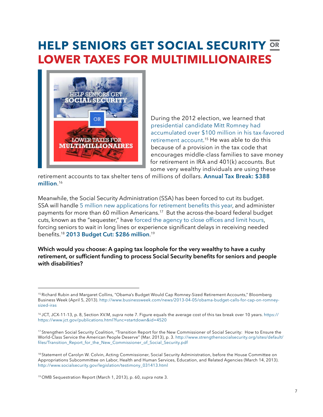## **heLp seNIoRs GeT soCIaL seCURITY ORLoWeR Taxes FoR MULTIMILLIoNaIRes**



During the 2012 election, we learned that presidential candidate Mitt Romney had [accumulated over \\$100 million in his tax-favored](http://www.businessweek.com/news/2013-04-05/obama-budget-calls-for-cap-on-romney-sized-iras)  [retirement account.](http://www.businessweek.com/news/2013-04-05/obama-budget-calls-for-cap-on-romney-sized-iras) 15 He was able to do this because of a provision in the tax code that encourages middle-class families to save money for retirement in IRA and  $401(k)$  accounts. But some very wealthy individuals are using these

retirement accounts to tax shelter tens of millions of dollars. **[Annual Tax Break: \\$388](http://1.usa.gov/12jxeLt)**  million.<sup>16</sup>

Meanwhile, the social security Administration (ssA) has been forced to cut its budget. SSA will handle 5 million new applications for retirement benefits this year, and administer payments for more than 60 million Americans.<sup>17</sup> But the across-the-board federal budget cuts, known as the "sequester," have forced the agency to close offices and limit hours, forcing seniors to wait in long lines or experience significant delays in receiving needed benefits.<sup>18</sup> 2013 Budget Cut: \$286 million.<sup>19</sup>

Which would you choose: A gaping tax loophole for the very wealthy to have a cushy retirement, or sufficient funding to process Social Security benefits for seniors and people with disabilities?

<sup>&</sup>lt;sup>15</sup> Richard Rubin and Margaret Collins, "Obama's Budget Would Cap Romney-Sized Retirement Accounts," Bloomberg Business Week (April 5, 2013). [http://www.businessweek.com/news/2013-04-05/obama-budget-calls-for-cap-on-romney](http://www.businessweek.com/news/2013-04-05/obama-budget-calls-for-cap-on-romney-sized-iras)[sized-iras](http://www.businessweek.com/news/2013-04-05/obama-budget-calls-for-cap-on-romney-sized-iras)

<sup>&</sup>lt;sup>16</sup> JCT, JCX-11-13, p. 8, Section XV.M, supra note 7. Figure equals the average cost of this tax break over 10 years. [https://](bit.ly:%20http://1.usa.gov/12jxeLt) https://www.jct.gov/publications.html?func=startdown&id=4520

<sup>&</sup>lt;sup>17</sup> Strengthen Social Security Coalition, "Transition Report for the New Commissioner of Social Security: How to Ensure the World-class service the American People Deserve" (Mar. 2013), p. 3. [http://www.strengthensocialsecurity.org/sites/default/](http://bit.ly/13DmXIW) files/Transition Report for the New Commissioner of Social Security.pdf

<sup>&</sup>lt;sup>18</sup> Statement of Carolyn W. Colvin, Acting Commissioner, Social Security Administration, before the House Committee on Appropriations Subcommittee on Labor, Health and Human Services, Education, and Related Agencies (March 14, 2013). http://www.socialsecurity.gov/legislation/testimony\_031413.html

<sup>&</sup>lt;sup>19</sup> OMB Sequestration Report (March 1, 2013), p. 60, supra note 3.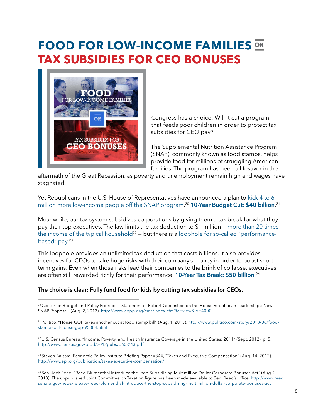## **FooD FoR LoW-INCoMe FaMILIes ORTax sUBsIDIes FoR Ceo BoNUses**



congress has a choice: Will it cut a program that feeds poor children in order to protect tax subsidies for CEO pay?

The Supplemental Nutrition Assistance Program (sNAP), commonly known as food stamps, helps provide food for millions of struggling American families. The program has been a lifesaver in the

aftermath of the Great Recession, as poverty and unemployment remain high and wages have stagnated.

Yet Republicans in the U.S. House of Representatives have announced a plan to kick 4 to 6 [million more low-income people off the sNAP program](http://bit.ly/19COh17). <sup>20</sup> **[10-Year Budget Cut: \\$40 billion](http://www.politico.com/story/2013/08/food-stamps-bill-house-gop-95084.html)**. 21

Meanwhile, our tax system subsidizes corporations by giving them a tax break for what they pay their top executives. The law limits the tax deduction to  $$1$  million – more than 20 times [the income of the typical household](http://www.census.gov/prod/2012pubs/p60-243.pdf)<sup>22</sup> – but there is a [loophole for so-called "performance](http://www.epi.org/publication/taxes-executive-compensation/)[based" pay.](http://www.epi.org/publication/taxes-executive-compensation/) 23

This loophole provides an unlimited tax deduction that costs billions. It also provides incentives for CEOs to take huge risks with their company's money in order to boost shortterm gains. Even when those risks lead their companies to the brink of collapse, executives are often still rewarded richly for their performance. **[10-Year Tax Break: \\$50 billion](http://www.reed.senate.gov/news/release/reed-blumenthal-introduce-the-stop-subsidizing-multimillion-dollar-corporate-bonuses-act)**. 24

### The choice is clear: Fully fund food for kids by cutting tax subsidies for CEOs.

<sup>20</sup> Center on Budget and Policy Priorities, "Statement of Robert Greenstein on the House Republican Leadership's New SNAP Proposal" (Aug. 2, 2013). http://www.cbpp.org/cms/index.cfm?fa=view&id=4000

<sup>21</sup> Politico, "House GOP takes another cut at food stamp bill" (Auq. 1, 2013). http://www.politico.com/story/2013/08/foodstamps-bill-house-gop-95084.html

<sup>22</sup> U.S. Census Bureau, "Income, Poverty, and Health Insurance Coverage in the United States: 2011" (Sept. 2012), p. 5. http://www.census.gov/prod/2012pubs/p60-243.pdf

<sup>23</sup> Steven Balsam, Economic Policy Institute Briefing Paper #344, "Taxes and Executive Compensation" (Aug. 14, 2012). <http://www.epi.org/publication/taxes-executive-compensation/>

<sup>24</sup> Sen. Jack Reed, "Reed-Blumenthal Introduce the Stop Subsidizing Multimillion Dollar Corporate Bonuses Act" (Aug. 2, 2013). The unpublished Joint Committee on Taxation figure has been made available to Sen. Reed's office. [http://www.reed.](http://www.reed.senate.gov/news/release/reed-blumenthal-introduce-the-stop-subsidizing-multimillion-dollar-corporate-bonuses-act%20) [senate.gov/news/release/reed-blumenthal-introduce-the-stop-subsidizing-multimillion-dollar-corporate-bonuses-act](http://www.reed.senate.gov/news/release/reed-blumenthal-introduce-the-stop-subsidizing-multimillion-dollar-corporate-bonuses-act%20)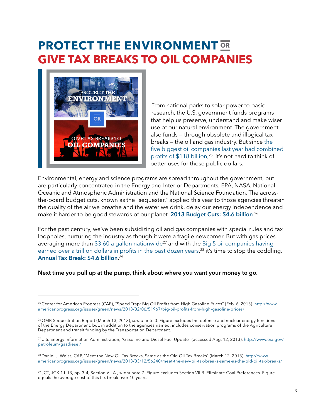### **pRoTeCT The eNVIRoNMeNT ORGIVe Tax BReaKs To oIL CoMpaNIes**



from national parks to solar power to basic research, the U.S. government funds programs that help us preserve, understand and make wiser use of our natural environment. The government also funds — through obsolete and illogical tax breaks — the oil and gas industry. But since [the](http://www.americanprogress.org/issues/green/news/2013/02/06/51967/big-oil-profits-from-high-gasoline-prices/)  five biggest oil companies last year had combined profits of \$118 billion,<sup>25</sup> it's not hard to think of better uses for those public dollars.

Environmental, energy and science programs are spread throughout the government, but are particularly concentrated in the Energy and Interior Departments, EPA, NASA, National oceanic and Atmospheric Administration and the National science foundation. the acrossthe-board budget cuts, known as the "sequester," applied this year to those agencies threaten the quality of the air we breathe and the water we drink, delay our energy independence and make it harder to be good stewards of our planet. **[2013 Budget Cuts: \\$4.6 billion](http://www.whitehouse.gov/sites/default/files/omb/assets/legislative_reports/fy13ombjcsequestrationreport.pdf)**.

for the past century, we've been subsidizing oil and gas companies with special rules and tax loopholes, nurturing the industry as though it were a fragile newcomer. But with gas prices averaging more than \$3.60 a gallon nationwide<sup>27</sup> and with the Big 5 oil companies having earned over a trillion dollars in profits in the past dozen years,<sup>28</sup> it's time to stop the coddling. **[Annual Tax Break: \\$4.6 billion](http://1.usa.gov/YL5Yan)**.

Next time you pull up at the pump, think about where you want your money to go.

<sup>&</sup>lt;sup>25</sup> Center for American Progress (CAP), "Speed Trap: Big Oil Profits from High Gasoline Prices" (Feb. 6, 2013). [http://www.](http://www.americanprogress.org/issues/green/news/2013/02/06/51967/big-oil-profits-from-high-gasoline-prices/) americanprogress.org/issues/green/news/2013/02/06/51967/big-oil-profits-from-high-gasoline-prices/

<sup>&</sup>lt;sup>26</sup> OMB Sequestration Report (March 13, 2013), *supra* note 3. Figure excludes the defense and nuclear energy functions of the energy Department, but, in addition to the agencies named, includes conservation programs of the Agriculture Department and transit funding by the Transportation Department.

 $^{27}$ U.S. Energy Information Administration, "Gasoline and Diesel Fuel Update" (accessed Aug. 12, 2013). [http://www.eia.gov/](http://www.eia.gov/petroleum/gasdiesel/) [petroleum/gasdiesel/](http://www.eia.gov/petroleum/gasdiesel/)

<sup>&</sup>lt;sup>28</sup> Daniel J. Weiss, CAP, "Meet the New Oil Tax Breaks, Same as the Old Oil Tax Breaks" (March 12, 2013). [http://www.](http://www.americanprogress.org/issues/green/news/2013/03/12/56240/meet-the-new-oil-tax-breaks-same-as-the-old-oil-tax-breaks/) americanprogress.org/issues/green/news/2013/03/12/56240/meet-the-new-oil-tax-breaks-same-as-the-old-oil-tax-breaks/

<sup>&</sup>lt;sup>29</sup> JCT, JCX-11-13, pp. 3-4, Section VII.A., *supra* note 7. Figure excludes Section VII.B. Eliminate Coal Preferences. Figure equals the average cost of this tax break over 10 years.